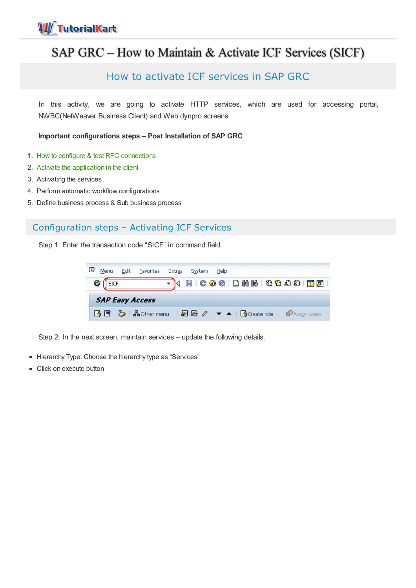

## SAP GRC – How to Maintain & Activate ICF Services (SICF)

## How to activate ICF services in SAP GRC

In this activity, we are going to activate HTTP services, which are used for accessing portal, NWBC(NetWeaver Business Client) and Web dynpro screens.

**Important configurations steps – Post Installation of SAP GRC**

- 1. How to configure & test RFC [connections](https://www.tutorialkart.com/sap-grc/how-to-configure-rfc-destination/)
- 2. Activate the [application](https://www.tutorialkart.com/sap-grc/activate-applications-in-client/) in the client
- 3. Activating the services
- 4. Perform automatic workflow configurations
- 5. Define business process & Sub business process

## Configuration steps – Activating ICF Services

Step 1: Enter the transaction code "SICF" in command field.

|  | Menu | Edit | <b>Favorites</b>       | <b>Extras</b> |                                                                                              | System | Help |  |  |  |                       |  |  |
|--|------|------|------------------------|---------------|----------------------------------------------------------------------------------------------|--------|------|--|--|--|-----------------------|--|--|
|  |      |      |                        |               | 日   000   日尚尚   2002   80                                                                    |        |      |  |  |  |                       |  |  |
|  |      |      | <b>SAP Easy Access</b> |               |                                                                                              |        |      |  |  |  |                       |  |  |
|  |      |      | 6 5   C   品 Other menu |               | $\Box$ $\Box$ $\Box$ $\Diamond$ $\Box$ $\blacktriangle$ $\Box$ $\Box$ $\Diamond$ (reate role |        |      |  |  |  | <b>B</b> Assign users |  |  |

Step 2: In the next screen, maintain services – update the following details.

- Hierarchy Type: Choose the hierarchy type as "Services"
- Click on execute button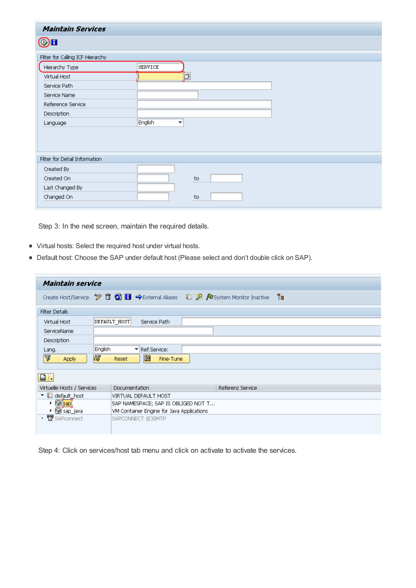| <b>Maintain Services</b>         |              |    |  |  |  |  |
|----------------------------------|--------------|----|--|--|--|--|
| $\bigcirc$ h                     |              |    |  |  |  |  |
| Filter for Calling ICF Hierarchy |              |    |  |  |  |  |
| Hierarchy Type                   | SERVICE      |    |  |  |  |  |
| Virtual Host                     |              | þ  |  |  |  |  |
| Service Path                     |              |    |  |  |  |  |
| Service Name                     |              |    |  |  |  |  |
| Reference Service                |              |    |  |  |  |  |
| Description                      |              |    |  |  |  |  |
| Language                         | English<br>▼ |    |  |  |  |  |
|                                  |              |    |  |  |  |  |
| Filter for Detail Information    |              |    |  |  |  |  |
| Created By                       |              |    |  |  |  |  |
| Created On                       |              | to |  |  |  |  |
| Last Changed By                  |              |    |  |  |  |  |
| Changed On                       |              | to |  |  |  |  |

Step 3: In the next screen, maintain the required details.

- Virtual hosts: Select the required host under virtual hosts.
- Default host: Choose the SAP under default host (Please select and don't double click on SAP).

| Maintain service                          |                                                                                                         |  |  |  |  |  |  |  |  |
|-------------------------------------------|---------------------------------------------------------------------------------------------------------|--|--|--|--|--|--|--|--|
|                                           | Ъ<br>Create Host/Service <sup>9</sup> □ 3 □ → External Aliases □ <sup>9</sup> / System Monitor Inactive |  |  |  |  |  |  |  |  |
| <b>Filter Details</b>                     |                                                                                                         |  |  |  |  |  |  |  |  |
| Virtual Host                              | DEFAULT HOST<br>Service Path                                                                            |  |  |  |  |  |  |  |  |
| ServiceName                               |                                                                                                         |  |  |  |  |  |  |  |  |
| <b>Description</b>                        |                                                                                                         |  |  |  |  |  |  |  |  |
| Lang.                                     | <b>English</b><br>Ref.Service:<br>▼                                                                     |  |  |  |  |  |  |  |  |
| F<br>冨<br><b>Apply</b>                    | 圈<br>Fine-Tune<br>Reset                                                                                 |  |  |  |  |  |  |  |  |
| 81                                        |                                                                                                         |  |  |  |  |  |  |  |  |
| Virtuelle Hosts / Services                | Documentation<br>Referenz Service                                                                       |  |  |  |  |  |  |  |  |
| $\blacktriangledown$ in default host      | VIRTUAL DEFAULT HOST                                                                                    |  |  |  |  |  |  |  |  |
| $\triangleright \textcircled R$ sapi      | SAP NAMESPACE; SAP IS OBLIGED NOT T                                                                     |  |  |  |  |  |  |  |  |
| $\triangleright \textcircled{3}$ sap_java | VM Container Engine for Java Applications                                                               |  |  |  |  |  |  |  |  |
| • 2 SAPconnect                            | SAPCONNECT (E)SMTP                                                                                      |  |  |  |  |  |  |  |  |

Step 4: Click on services/host tab menu and click on activate to activate the services.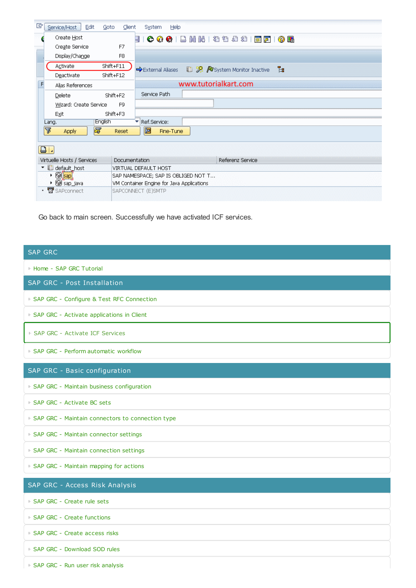| 叵<br>Edit<br>Service/Host<br>Goto    | Client               | Help<br><b>System</b>                                              |  |  |  |  |  |  |  |
|--------------------------------------|----------------------|--------------------------------------------------------------------|--|--|--|--|--|--|--|
| Create Host                          | 듸                    | 0 E                                                                |  |  |  |  |  |  |  |
| Create Service                       | F7                   |                                                                    |  |  |  |  |  |  |  |
| Display/Change                       | F <sub>8</sub>       |                                                                    |  |  |  |  |  |  |  |
| Activate                             | Shift+F11            | Ъ<br><b>D</b> System Monitor Inactive<br><b>→</b> External Aliases |  |  |  |  |  |  |  |
| Deactivate                           | Shift+F12            |                                                                    |  |  |  |  |  |  |  |
| F<br>Alias References                |                      | www.tutorialkart.com                                               |  |  |  |  |  |  |  |
| Delete                               | Shift+F2             | Service Path                                                       |  |  |  |  |  |  |  |
| Wizard: Create Service               | F <sub>9</sub>       |                                                                    |  |  |  |  |  |  |  |
| Exit                                 | Shift+F3             |                                                                    |  |  |  |  |  |  |  |
| <b>English</b><br>Lang.              |                      | Ref.Service:                                                       |  |  |  |  |  |  |  |
| 昬<br>昬<br><b>Apply</b>               | Reset                | 圖<br>Fine-Tune                                                     |  |  |  |  |  |  |  |
| $\boxed{a}$                          |                      |                                                                    |  |  |  |  |  |  |  |
| Virtuelle Hosts / Services           | <b>Documentation</b> | Referenz Service                                                   |  |  |  |  |  |  |  |
| v default host                       |                      | VIRTUAL DEFAULT HOST                                               |  |  |  |  |  |  |  |
| $\triangleright \textcircled{3}$ sap |                      | SAP NAMESPACE; SAP IS OBLIGED NOT T                                |  |  |  |  |  |  |  |
| ▶ <b>@</b> sap_java                  |                      | VM Container Engine for Java Applications                          |  |  |  |  |  |  |  |
| · <b>X</b> SAPconnect                | SAPCONNECT (E)SMTP   |                                                                    |  |  |  |  |  |  |  |

Go back to main screen. Successfully we have activated ICF services.

| <b>SAP GRC</b>                                     |
|----------------------------------------------------|
| ⊩ Home - SAP GRC Tutorial                          |
| SAP GRC - Post Installation                        |
| F SAP GRC - Configure & Test RFC Connection        |
| F SAP GRC - Activate applications in Client        |
| ► SAP GRC - Activate ICF Services                  |
| ► SAP GRC - Perform automatic workflow             |
| SAP GRC - Basic configuration                      |
| F SAP GRC - Maintain business configuration        |
| ► SAP GRC - Activate BC sets                       |
| ► SAP GRC - Maintain connectors to connection type |
| ► SAP GRC - Maintain connector settings            |
| ► SAP GRC - Maintain connection settings           |
| F SAP GRC - Maintain mapping for actions           |
| SAP GRC - Access Risk Analysis                     |
| ► SAP GRC - Create rule sets                       |
| ► SAP GRC - Create functions                       |
| ⊩ SAP GRC - Create access risks                    |
| ⊩ SAP GRC - Download SOD rules                     |
| F SAP GRC - Run user risk analysis                 |